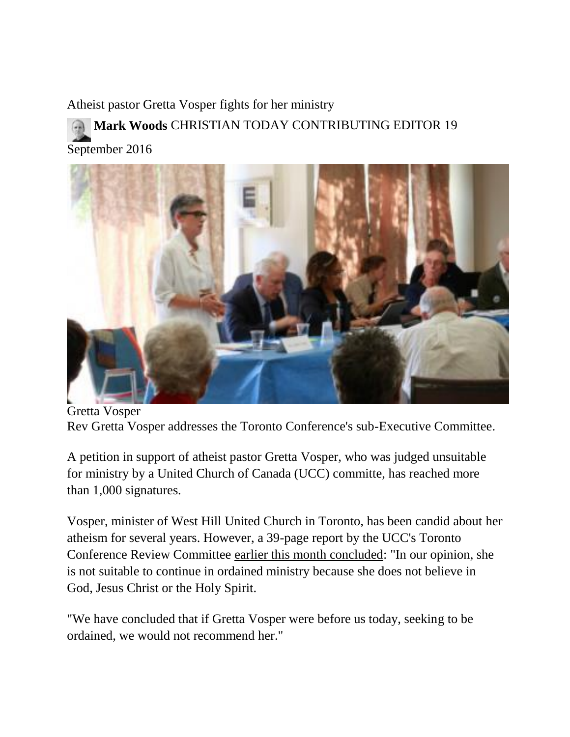Atheist pastor Gretta Vosper fights for her ministry **Mark [Woods](http://www.christiantoday.com/reporter/mark-woods)** CHRISTIAN TODAY CONTRIBUTING EDITOR 19 September 2016



Gretta Vosper Rev Gretta Vosper addresses the Toronto Conference's sub-Executive Committee.

A petition in support of atheist pastor Gretta Vosper, who was judged unsuitable for ministry by a United Church of Canada (UCC) committe, has reached more than 1,000 signatures.

Vosper, minister of West Hill United Church in Toronto, has been candid about her atheism for several years. However, a 39-page report by the UCC's Toronto Conference Review Committee [earlier this month concluded:](http://www.christiantoday.com/article/rev.gretta.vosper.doesnt.believe.in.god.jesus.or.bible.church.panel.says.enough.is.enough/95045.htm) "In our opinion, she is not suitable to continue in ordained ministry because she does not believe in God, Jesus Christ or the Holy Spirit.

"We have concluded that if Gretta Vosper were before us today, seeking to be ordained, we would not recommend her."